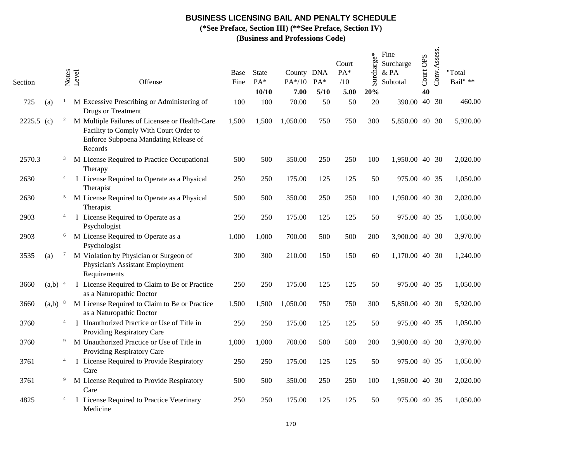**(\*See Preface, Section III) (\*\*See Preface, Section IV)**

| Section      |                      | Notes          | Level<br>Offense                                                                                                                             | Base<br>Fine | State<br>PA* | County DNA<br>$PA*/10$ | $PA*$ | Court<br>PA*<br>/10 | Surcharge* | Fine<br>Surcharge<br>& PA<br>Subtotal | Court OPS | Conv.Assess. | "Total<br>Bail" ** |
|--------------|----------------------|----------------|----------------------------------------------------------------------------------------------------------------------------------------------|--------------|--------------|------------------------|-------|---------------------|------------|---------------------------------------|-----------|--------------|--------------------|
|              |                      |                |                                                                                                                                              |              | 10/10        | 7.00                   | 5/10  | 5.00                | 20%        |                                       | 40        |              |                    |
| 725          | (a)                  | $\mathbf{1}$   | M Excessive Prescribing or Administering of<br><b>Drugs or Treatment</b>                                                                     | 100          | 100          | 70.00                  | 50    | 50                  | 20         | 390.00 40 30                          |           |              | 460.00             |
| $2225.5$ (c) |                      | $\overline{c}$ | M Multiple Failures of Licensee or Health-Care<br>Facility to Comply With Court Order to<br>Enforce Subpoena Mandating Release of<br>Records | 1,500        | 1,500        | 1,050.00               | 750   | 750                 | 300        | 5,850.00 40 30                        |           |              | 5,920.00           |
| 2570.3       |                      | $\mathbf{3}$   | M License Required to Practice Occupational<br>Therapy                                                                                       | 500          | 500          | 350.00                 | 250   | 250                 | 100        | 1,950.00 40 30                        |           |              | 2,020.00           |
| 2630         |                      | $\overline{4}$ | I License Required to Operate as a Physical<br>Therapist                                                                                     | 250          | 250          | 175.00                 | 125   | 125                 | 50         | 975.00 40 35                          |           |              | 1,050.00           |
| 2630         |                      | 5              | M License Required to Operate as a Physical<br>Therapist                                                                                     | 500          | 500          | 350.00                 | 250   | 250                 | 100        | 1,950.00 40 30                        |           |              | 2,020.00           |
| 2903         |                      | $\overline{4}$ | I License Required to Operate as a<br>Psychologist                                                                                           | 250          | 250          | 175.00                 | 125   | 125                 | 50         | 975.00 40 35                          |           |              | 1,050.00           |
| 2903         |                      | 6              | M License Required to Operate as a<br>Psychologist                                                                                           | 1,000        | 1,000        | 700.00                 | 500   | 500                 | 200        | 3,900.00 40 30                        |           |              | 3,970.00           |
| 3535         | (a)                  | $\mathcal{I}$  | M Violation by Physician or Surgeon of<br>Physician's Assistant Employment<br>Requirements                                                   | 300          | 300          | 210.00                 | 150   | 150                 | 60         | 1,170.00 40 30                        |           |              | 1,240.00           |
| 3660         | $(a,b)$ <sup>4</sup> |                | I License Required to Claim to Be or Practice<br>as a Naturopathic Doctor                                                                    | 250          | 250          | 175.00                 | 125   | 125                 | 50         | 975.00 40 35                          |           |              | 1,050.00           |
| 3660         | $(a,b)$ 8            |                | M License Required to Claim to Be or Practice<br>as a Naturopathic Doctor                                                                    | 1,500        | 1,500        | 1,050.00               | 750   | 750                 | 300        | 5,850.00 40 30                        |           |              | 5,920.00           |
| 3760         |                      | $\overline{4}$ | I Unauthorized Practice or Use of Title in<br>Providing Respiratory Care                                                                     | 250          | 250          | 175.00                 | 125   | 125                 | 50         | 975.00 40 35                          |           |              | 1,050.00           |
| 3760         |                      | 9              | M Unauthorized Practice or Use of Title in<br>Providing Respiratory Care                                                                     | 1,000        | 1,000        | 700.00                 | 500   | 500                 | 200        | 3,900.00 40 30                        |           |              | 3,970.00           |
| 3761         |                      | $\overline{4}$ | I License Required to Provide Respiratory<br>Care                                                                                            | 250          | 250          | 175.00                 | 125   | 125                 | 50         | 975.00 40 35                          |           |              | 1,050.00           |
| 3761         |                      | 9              | M License Required to Provide Respiratory<br>Care                                                                                            | 500          | 500          | 350.00                 | 250   | 250                 | 100        | 1,950.00 40 30                        |           |              | 2,020.00           |
| 4825         |                      | $\overline{4}$ | I License Required to Practice Veterinary<br>Medicine                                                                                        | 250          | 250          | 175.00                 | 125   | 125                 | 50         | 975.00 40 35                          |           |              | 1,050.00           |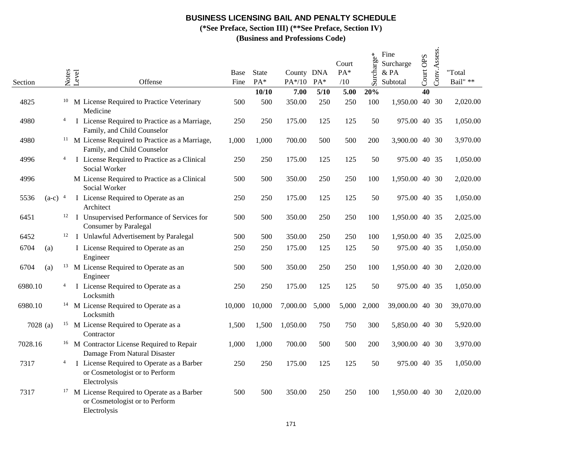**(\*See Preface, Section III) (\*\*See Preface, Section IV)**

| Section |           | Notes          | Level | Offense                                                                                                   | Base<br>Fine | <b>State</b><br>PA* | County DNA<br>$PA*/10$ | PA*   | Court<br>PA*<br>/10 | Surcharge* | Fine<br>Surcharge<br>& PA<br>Subtotal | Court OPS | Conv.Assess. | "Total<br>Bail" $\ast\ast$ |
|---------|-----------|----------------|-------|-----------------------------------------------------------------------------------------------------------|--------------|---------------------|------------------------|-------|---------------------|------------|---------------------------------------|-----------|--------------|----------------------------|
|         |           |                |       |                                                                                                           |              | 10/10               | 7.00                   | 5/10  | 5.00                | 20%        |                                       | 40        |              |                            |
| 4825    |           |                |       | <sup>10</sup> M License Required to Practice Veterinary<br>Medicine                                       | 500          | 500                 | 350.00                 | 250   | 250                 | 100        | 1,950.00 40 30                        |           |              | 2,020.00                   |
| 4980    |           | 4              |       | I License Required to Practice as a Marriage,<br>Family, and Child Counselor                              | 250          | 250                 | 175.00                 | 125   | 125                 | 50         | 975.00 40 35                          |           |              | 1,050.00                   |
| 4980    |           | 11             |       | M License Required to Practice as a Marriage,<br>Family, and Child Counselor                              | 1,000        | 1,000               | 700.00                 | 500   | 500                 | 200        | 3,900.00 40 30                        |           |              | 3,970.00                   |
| 4996    |           | $\overline{4}$ |       | I License Required to Practice as a Clinical<br>Social Worker                                             | 250          | 250                 | 175.00                 | 125   | 125                 | 50         | 975.00 40 35                          |           |              | 1,050.00                   |
| 4996    |           |                |       | M License Required to Practice as a Clinical<br>Social Worker                                             | 500          | 500                 | 350.00                 | 250   | 250                 | 100        | 1,950.00 40 30                        |           |              | 2,020.00                   |
| 5536    | $(a-c)^4$ |                |       | I License Required to Operate as an<br>Architect                                                          | 250          | 250                 | 175.00                 | 125   | 125                 | 50         | 975.00 40 35                          |           |              | 1,050.00                   |
| 6451    |           |                |       | <sup>12</sup> I Unsupervised Performance of Services for<br><b>Consumer by Paralegal</b>                  | 500          | 500                 | 350.00                 | 250   | 250                 | 100        | 1,950.00 40 35                        |           |              | 2,025.00                   |
| 6452    |           |                |       | <sup>12</sup> I Unlawful Advertisement by Paralegal                                                       | 500          | 500                 | 350.00                 | 250   | 250                 | 100        | 1,950.00 40 35                        |           |              | 2,025.00                   |
| 6704    | (a)       |                |       | I License Required to Operate as an<br>Engineer                                                           | 250          | 250                 | 175.00                 | 125   | 125                 | 50         | 975.00 40 35                          |           |              | 1,050.00                   |
| 6704    | (a)       |                |       | <sup>13</sup> M License Required to Operate as an<br>Engineer                                             | 500          | 500                 | 350.00                 | 250   | 250                 | 100        | 1,950.00 40 30                        |           |              | 2,020.00                   |
| 6980.10 |           | 4              |       | I License Required to Operate as a<br>Locksmith                                                           | 250          | 250                 | 175.00                 | 125   | 125                 | 50         | 975.00 40 35                          |           |              | 1,050.00                   |
| 6980.10 |           |                |       | <sup>14</sup> M License Required to Operate as a<br>Locksmith                                             | 10,000       | 10,000              | 7,000.00               | 5,000 | 5,000               | 2,000      | 39,000.00 40 30                       |           |              | 39,070.00                  |
| 7028(a) |           |                |       | <sup>15</sup> M License Required to Operate as a<br>Contractor                                            | 1,500        | 1,500               | 1,050.00               | 750   | 750                 | 300        | 5,850.00 40 30                        |           |              | 5,920.00                   |
| 7028.16 |           |                |       | <sup>16</sup> M Contractor License Required to Repair<br>Damage From Natural Disaster                     | 1,000        | 1,000               | 700.00                 | 500   | 500                 | 200        | 3,900.00 40 30                        |           |              | 3,970.00                   |
| 7317    |           | 4              |       | I License Required to Operate as a Barber<br>or Cosmetologist or to Perform<br>Electrolysis               | 250          | 250                 | 175.00                 | 125   | 125                 | 50         | 975.00 40 35                          |           |              | 1,050.00                   |
| 7317    |           |                |       | <sup>17</sup> M License Required to Operate as a Barber<br>or Cosmetologist or to Perform<br>Electrolysis | 500          | 500                 | 350.00                 | 250   | 250                 | 100        | 1,950.00 40 30                        |           |              | 2,020.00                   |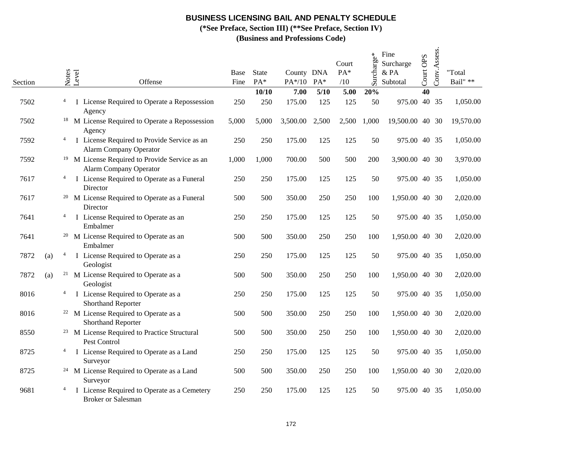**(\*See Preface, Section III) (\*\*See Preface, Section IV)**

| Section |     | Notes          | Level | Offense                                                                                    | Base<br>Fine | <b>State</b><br>PA* | County DNA<br>PA*/10 | $PA*$  | Court<br>PA*<br>/10 | Surcharge* | Fine<br>Surcharge<br>& PA<br>Subtotal | Court OPS | Conv.Assess. | "Total<br>Bail" ** |
|---------|-----|----------------|-------|--------------------------------------------------------------------------------------------|--------------|---------------------|----------------------|--------|---------------------|------------|---------------------------------------|-----------|--------------|--------------------|
|         |     |                |       |                                                                                            |              | 10/10               | 7.00                 | $5/10$ | 5.00                | 20%        |                                       | 40        |              |                    |
| 7502    |     | $\overline{4}$ |       | I License Required to Operate a Repossession<br>Agency                                     | 250          | 250                 | 175.00               | 125    | 125                 | 50         | 975.00 40 35                          |           |              | 1,050.00           |
| 7502    |     |                |       | <sup>18</sup> M License Required to Operate a Repossession<br>Agency                       | 5,000        | 5,000               | 3,500.00             | 2,500  | 2,500               | 1,000      | 19,500.00 40 30                       |           |              | 19,570.00          |
| 7592    |     | 4              |       | I License Required to Provide Service as an<br><b>Alarm Company Operator</b>               | 250          | 250                 | 175.00               | 125    | 125                 | 50         | 975.00 40 35                          |           |              | 1,050.00           |
| 7592    |     |                |       | <sup>19</sup> M License Required to Provide Service as an<br><b>Alarm Company Operator</b> | 1,000        | 1,000               | 700.00               | 500    | 500                 | 200        | 3,900.00 40 30                        |           |              | 3,970.00           |
| 7617    |     | $\overline{4}$ |       | I License Required to Operate as a Funeral<br>Director                                     | 250          | 250                 | 175.00               | 125    | 125                 | 50         | 975.00 40 35                          |           |              | 1,050.00           |
| 7617    |     |                |       | <sup>20</sup> M License Required to Operate as a Funeral<br>Director                       | 500          | 500                 | 350.00               | 250    | 250                 | 100        | 1,950.00 40 30                        |           |              | 2,020.00           |
| 7641    |     | 4              |       | I License Required to Operate as an<br>Embalmer                                            | 250          | 250                 | 175.00               | 125    | 125                 | 50         | 975.00 40 35                          |           |              | 1,050.00           |
| 7641    |     |                |       | <sup>20</sup> M License Required to Operate as an<br>Embalmer                              | 500          | 500                 | 350.00               | 250    | 250                 | 100        | 1,950.00 40 30                        |           |              | 2,020.00           |
| 7872    | (a) | $\overline{4}$ |       | I License Required to Operate as a<br>Geologist                                            | 250          | 250                 | 175.00               | 125    | 125                 | 50         | 975.00 40 35                          |           |              | 1,050.00           |
| 7872    | (a) | 21             |       | M License Required to Operate as a<br>Geologist                                            | 500          | 500                 | 350.00               | 250    | 250                 | 100        | 1,950.00 40 30                        |           |              | 2,020.00           |
| 8016    |     | $\overline{4}$ |       | I License Required to Operate as a<br>Shorthand Reporter                                   | 250          | 250                 | 175.00               | 125    | 125                 | 50         | 975.00 40 35                          |           |              | 1,050.00           |
| 8016    |     |                |       | <sup>22</sup> M License Required to Operate as a<br><b>Shorthand Reporter</b>              | 500          | 500                 | 350.00               | 250    | 250                 | 100        | 1,950.00 40 30                        |           |              | 2,020.00           |
| 8550    |     |                |       | <sup>23</sup> M License Required to Practice Structural<br>Pest Control                    | 500          | 500                 | 350.00               | 250    | 250                 | 100        | 1,950.00 40 30                        |           |              | 2,020.00           |
| 8725    |     | 4              |       | I License Required to Operate as a Land<br>Surveyor                                        | 250          | 250                 | 175.00               | 125    | 125                 | 50         | 975.00 40 35                          |           |              | 1,050.00           |
| 8725    |     |                |       | <sup>24</sup> M License Required to Operate as a Land<br>Surveyor                          | 500          | 500                 | 350.00               | 250    | 250                 | 100        | 1,950.00 40 30                        |           |              | 2,020.00           |
| 9681    |     | 4              |       | I License Required to Operate as a Cemetery<br><b>Broker or Salesman</b>                   | 250          | 250                 | 175.00               | 125    | 125                 | 50         | 975.00 40 35                          |           |              | 1,050.00           |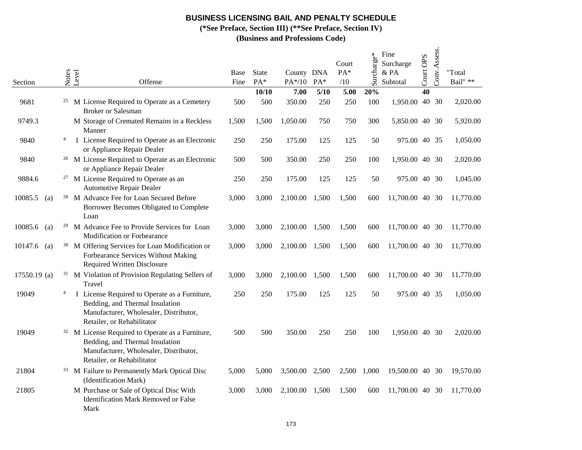**(\*See Preface, Section III) (\*\*See Preface, Section IV)**

| Section                      |                | Notes | Level  | Offense                                                                                                                                                                | Base<br>Fine | <b>State</b><br>PA* | County DNA<br>PA*/10 | $PA*$ | Court<br>PA*<br>/10 | Surcharge* | Fine<br>Surcharge<br>& PA<br>Subtotal | Court OPS       | Conv.Assess. | "Total<br>Bail" ** |
|------------------------------|----------------|-------|--------|------------------------------------------------------------------------------------------------------------------------------------------------------------------------|--------------|---------------------|----------------------|-------|---------------------|------------|---------------------------------------|-----------------|--------------|--------------------|
|                              |                |       |        |                                                                                                                                                                        |              | 10/10               | 7.00                 | 5/10  | 5.00                | 20%        |                                       | $\overline{40}$ |              |                    |
| 9681                         |                | 25    |        | M License Required to Operate as a Cemetery<br><b>Broker or Salesman</b>                                                                                               | 500          | 500                 | 350.00               | 250   | 250                 | 100        | 1,950.00                              |                 | 40 30        | 2,020.00           |
| 9749.3                       |                |       | Manner | M Storage of Cremated Remains in a Reckless                                                                                                                            | 1,500        | 1,500               | 1,050.00             | 750   | 750                 | 300        | 5,850.00 40 30                        |                 |              | 5,920.00           |
| 9840                         | 4              |       |        | I License Required to Operate as an Electronic<br>or Appliance Repair Dealer                                                                                           | 250          | 250                 | 175.00               | 125   | 125                 | 50         | 975.00 40 35                          |                 |              | 1,050.00           |
| 9840                         |                |       |        | <sup>26</sup> M License Required to Operate as an Electronic<br>or Appliance Repair Dealer                                                                             | 500          | 500                 | 350.00               | 250   | 250                 | 100        | 1,950.00 40 30                        |                 |              | 2,020.00           |
| 9884.6                       |                | 27    |        | M License Required to Operate as an<br><b>Automotive Repair Dealer</b>                                                                                                 | 250          | 250                 | 175.00               | 125   | 125                 | 50         | 975.00 40 30                          |                 |              | 1,045.00           |
| 10085.5<br>(a)               |                |       | Loan   | <sup>28</sup> M Advance Fee for Loan Secured Before<br>Borrower Becomes Obligated to Complete                                                                          | 3,000        | 3,000               | 2,100.00             | 1,500 | 1,500               | 600        | 11,700.00 40 30                       |                 |              | 11,770.00          |
| 10085.6<br>(a)               |                | 29    |        | M Advance Fee to Provide Services for Loan<br>Modification or Forbearance                                                                                              | 3,000        | 3,000               | 2,100.00             | 1,500 | 1,500               | 600        | 11,700.00 40 30                       |                 |              | 11,770.00          |
| 10147.6<br>$\left( a\right)$ |                | 30    |        | M Offering Services for Loan Modification or<br>Forbearance Services Without Making<br><b>Required Written Disclosure</b>                                              | 3,000        | 3,000               | 2,100.00             | 1,500 | 1,500               | 600        | 11,700.00 40 30                       |                 |              | 11,770.00          |
| 17550.19 (a)                 |                | 31    | Travel | M Violation of Provision Regulating Sellers of                                                                                                                         | 3,000        | 3,000               | 2,100.00             | 1,500 | 1,500               | 600        | 11,700.00 40 30                       |                 |              | 11,770.00          |
| 19049                        | $\overline{4}$ |       |        | I License Required to Operate as a Furniture,<br>Bedding, and Thermal Insulation<br>Manufacturer, Wholesaler, Distributor,<br>Retailer, or Rehabilitator               | 250          | 250                 | 175.00               | 125   | 125                 | 50         | 975.00 40 35                          |                 |              | 1,050.00           |
| 19049                        |                |       |        | <sup>32</sup> M License Required to Operate as a Furniture,<br>Bedding, and Thermal Insulation<br>Manufacturer, Wholesaler, Distributor,<br>Retailer, or Rehabilitator | 500          | 500                 | 350.00               | 250   | 250                 | 100        | 1,950.00 40 30                        |                 |              | 2,020.00           |
| 21804                        |                |       |        | <sup>33</sup> M Failure to Permanently Mark Optical Disc<br>(Identification Mark)                                                                                      | 5,000        | 5,000               | 3,500.00             | 2,500 | 2,500               | 1,000      | 19,500.00 40 30                       |                 |              | 19,570.00          |
| 21805                        |                |       | Mark   | M Purchase or Sale of Optical Disc With<br><b>Identification Mark Removed or False</b>                                                                                 | 3,000        | 3,000               | 2.100.00             | 1,500 | 1,500               | 600        | 11,700.00 40 30                       |                 |              | 11,770.00          |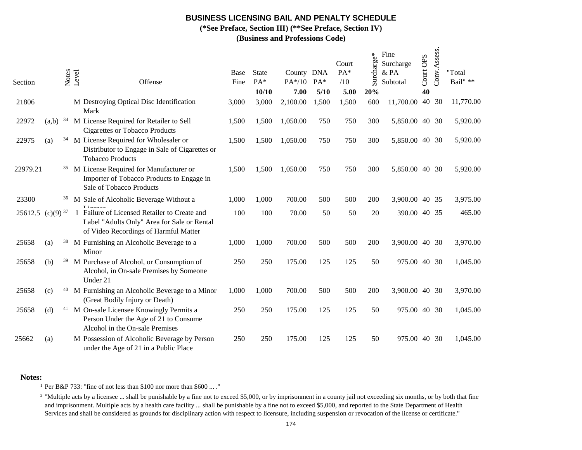**(\*See Preface, Section III) (\*\*See Preface, Section IV)**

**(Business and Professions Code)**

| Section  |               |    | Notes<br>Level | Offense                                                                                                                              | Base<br>Fine | <b>State</b><br>PA* | County DNA<br>PA*/10 | $PA*$  | Court<br>$PA*$<br>/10 | $\mathbf{e}^*$<br>charge<br>تلا<br>تلا | Fine<br>Surcharge<br>& PA<br>Subtotal | Court OPS | Conv.Assess. | "Total<br>Bail" ** |
|----------|---------------|----|----------------|--------------------------------------------------------------------------------------------------------------------------------------|--------------|---------------------|----------------------|--------|-----------------------|----------------------------------------|---------------------------------------|-----------|--------------|--------------------|
|          |               |    |                |                                                                                                                                      |              | 10/10               | 7.00                 | $5/10$ | 5.00                  | 20%                                    |                                       | 40        |              |                    |
| 21806    |               |    |                | M Destroying Optical Disc Identification<br>Mark                                                                                     | 3,000        | 3,000               | 2,100.00             | 1,500  | 1,500                 | 600                                    | 11,700.00                             |           | 40 30        | 11,770.00          |
| 22972    | (a,b)         | 34 |                | M License Required for Retailer to Sell<br><b>Cigarettes or Tobacco Products</b>                                                     | 1,500        | 1,500               | 1,050.00             | 750    | 750                   | 300                                    | 5,850.00 40 30                        |           |              | 5,920.00           |
| 22975    | (a)           | 34 |                | M License Required for Wholesaler or<br>Distributor to Engage in Sale of Cigarettes or<br><b>Tobacco Products</b>                    | 1,500        | 1,500               | 1,050.00             | 750    | 750                   | 300                                    | 5,850.00 40 30                        |           |              | 5,920.00           |
| 22979.21 |               | 35 |                | M License Required for Manufacturer or<br>Importer of Tobacco Products to Engage in<br>Sale of Tobacco Products                      | 1,500        | 1,500               | 1,050.00             | 750    | 750                   | 300                                    | 5,850.00 40 30                        |           |              | 5,920.00           |
| 23300    |               | 36 |                | M Sale of Alcoholic Beverage Without a                                                                                               | 1,000        | 1,000               | 700.00               | 500    | 500                   | 200                                    | 3,900.00 40 35                        |           |              | 3,975.00           |
| 25612.5  | $(c)(9)^{37}$ |    |                | I Failure of Licensed Retailer to Create and<br>Label "Adults Only" Area for Sale or Rental<br>of Video Recordings of Harmful Matter | 100          | 100                 | 70.00                | 50     | 50                    | 20                                     | 390.00                                |           | 40 35        | 465.00             |
| 25658    | (a)           | 38 |                | M Furnishing an Alcoholic Beverage to a<br>Minor                                                                                     | 1,000        | 1,000               | 700.00               | 500    | 500                   | 200                                    | 3,900.00 40 30                        |           |              | 3,970.00           |
| 25658    | (b)           | 39 |                | M Purchase of Alcohol, or Consumption of<br>Alcohol, in On-sale Premises by Someone<br>Under 21                                      | 250          | 250                 | 175.00               | 125    | 125                   | 50                                     | 975.00                                |           | 40 30        | 1,045.00           |
| 25658    | (c)           | 40 |                | M Furnishing an Alcoholic Beverage to a Minor<br>(Great Bodily Injury or Death)                                                      | 1,000        | 1,000               | 700.00               | 500    | 500                   | 200                                    | 3,900.00 40 30                        |           |              | 3,970.00           |
| 25658    | (d)           | 41 |                | M On-sale Licensee Knowingly Permits a<br>Person Under the Age of 21 to Consume<br>Alcohol in the On-sale Premises                   | 250          | 250                 | 175.00               | 125    | 125                   | 50                                     | 975.00                                |           | 40 30        | 1,045.00           |
| 25662    | (a)           |    |                | M Possession of Alcoholic Beverage by Person<br>under the Age of 21 in a Public Place                                                | 250          | 250                 | 175.00               | 125    | 125                   | 50                                     | 975.00                                |           | 40 30        | 1,045.00           |

### **Notes:**

1 Per B&P 733: "fine of not less than \$100 nor more than \$600 ... ."

<sup>2</sup> "Multiple acts by a licensee ... shall be punishable by a fine not to exceed \$5,000, or by imprisonment in a county jail not exceeding six months, or by both that fine and imprisonment. Multiple acts by a health care facility ... shall be punishable by a fine not to exceed \$5,000, and reported to the State Department of Health Services and shall be considered as grounds for disciplinary action with respect to licensure, including suspension or revocation of the license or certificate."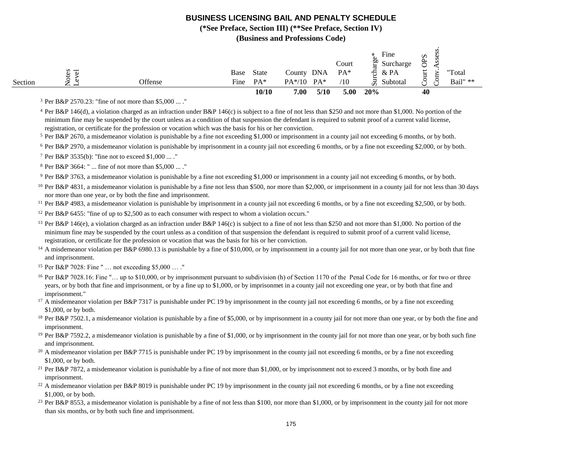**(\*See Preface, Section III) (\*\*See Preface, Section IV)**

**(Business and Professions Code)**

|         |                                                |         |      | 10/10        | 7.00     | 5/10   | 5.00           | 20%                   | 40                           |          |
|---------|------------------------------------------------|---------|------|--------------|----------|--------|----------------|-----------------------|------------------------------|----------|
| Section | ٮ<br>—<br>-<br>∼                               | Offense | Fine | $PA*$        | $PA*/10$ | $PA^*$ | $^{\prime 10}$ | ⊐<br>Subtotal<br>ÜΩ   | $\check{ }$<br>◡             | Bail" ** |
|         | s<br>$\overline{\phantom{0}}$<br>$\omega$<br>ت |         | Base | <b>State</b> | County   | DNA    | PA*            | $&$ PA<br>∺           | ى<br>⊢<br>$\rightarrow$<br>≕ | "Total   |
|         |                                                |         |      |              |          |        | Court          | oo.<br>Surcharge<br>≻ | ≍<br>$\check{ }$             | Ö        |
|         |                                                |         |      |              |          |        |                | Fine<br>⋇             | Ω                            |          |
|         |                                                |         |      |              |          |        |                |                       |                              | S        |

3 Per B&P 2570.23: "fine of not more than \$5,000 ... ."

<sup>4</sup> Per B&P 146(d), a violation charged as an infraction under B&P 146(c) is subject to a fine of not less than \$250 and not more than \$1,000. No portion of the minimum fine may be suspended by the court unless as a condition of that suspension the defendant is required to submit proof of a current valid license, registration, or certificate for the profession or vocation which was the basis for his or her conviction.

5 Per B&P 2670, a misdemeanor violation is punishable by a fine not exceeding \$1,000 or imprisonment in a county jail not exceeding 6 months, or by both.

<sup>6</sup> Per B&P 2970, a misdemeanor violation is punishable by imprisonment in a county jail not exceeding 6 months, or by a fine not exceeding \$2,000, or by both.

7 Per B&P 3535(b): "fine not to exceed \$1,000 ... ."

8 Per B&P 3664: " ... fine of not more than \$5,000 ... ."

9 Per B&P 3763, a misdemeanor violation is punishable by a fine not exceeding \$1,000 or imprisonment in a county jail not exceeding 6 months, or by both.

<sup>10</sup> Per B&P 4831, a misdemeanor violation is punishable by a fine not less than \$500, nor more than \$2,000, or imprisonment in a county jail for not less than 30 days nor more than one year, or by both the fine and imprisonment.

<sup>11</sup> Per B&P 4983, a misdemeanor violation is punishable by imprisonment in a county jail not exceeding 6 months, or by a fine not exceeding \$2,500, or by both.

<sup>12</sup> Per B&P 6455: "fine of up to \$2,500 as to each consumer with respect to whom a violation occurs."

<sup>13</sup> Per B&P 146(e), a violation charged as an infraction under B&P 146(c) is subject to a fine of not less than \$250 and not more than \$1,000. No portion of the minimum fine may be suspended by the court unless as a condition of that suspension the defendant is required to submit proof of a current valid license, registration, or certificate for the profession or vocation that was the basis for his or her conviction.

<sup>14</sup> A misdemeanor violation per B&P 6980.13 is punishable by a fine of \$10,000, or by imprisonment in a county jail for not more than one year, or by both that fine and imprisonment.

15 Per B&P 7028: Fine " … not exceeding \$5,000 … ."

<sup>16</sup> Per B&P 7028.16: Fine "... up to \$10,000, or by imprisonment pursuant to subdivision (h) of Section 1170 of the Penal Code for 16 months, or for two or three years, or by both that fine and imprisonment, or by a fine up to \$1,000, or by imprisonmet in a county jail not exceeding one year, or by both that fine and imprisonment."

<sup>17</sup> A misdemeanor violation per B&P 7317 is punishable under PC 19 by imprisonment in the county jail not exceeding 6 months, or by a fine not exceeding \$1,000, or by both.

<sup>18</sup> Per B&P 7502.1, a misdemeanor violation is punishable by a fine of \$5,000, or by imprisonment in a county jail for not more than one year, or by both the fine and imprisonment.

<sup>19</sup> Per B&P 7592.2, a misdemeanor violation is punishable by a fine of \$1,000, or by imprisonment in the county jail for not more than one year, or by both such fine and imprisonment.

<sup>20</sup> A misdemeanor violation per B&P 7715 is punishable under PC 19 by imprisonment in the county jail not exceeding 6 months, or by a fine not exceeding \$1,000, or by both.

<sup>21</sup> Per B&P 7872, a misdemeanor violation is punishable by a fine of not more than \$1,000, or by imprisonment not to exceed 3 months, or by both fine and imprisonment.

<sup>22</sup> A misdemeanor violation per B&P 8019 is punishable under PC 19 by imprisonment in the county jail not exceeding 6 months, or by a fine not exceeding \$1,000, or by both.

<sup>23</sup> Per B&P 8553, a misdemeanor violation is punishable by a fine of not less than \$100, nor more than \$1,000, or by imprisonment in the county jail for not more than six months, or by both such fine and imprisonment.